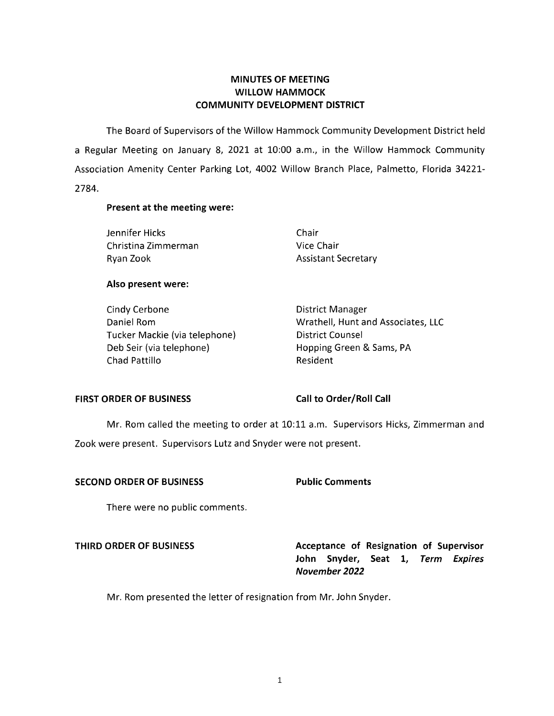# **MINUTES OF MEETING WILLOW HAMMOCK COMMUNITY DEVELOPMENT DISTRICT**

The Board of Supervisors of the Willow Hammock Community Development District held a Regular Meeting on January 8, 2021 at 10:00 a.m., in the Willow Hammock Community Association Amenity Center Parking Lot, 4002 Willow Branch Place, Palmetto, Florida 34221- 2784.

#### **Present at the meeting were:**

Jennifer Hicks Chair Christina Zimmerman Vice Chair Ryan Zook **Assistant Secretary** 

#### **Also present were:**

| Cindy Cerbone                 | <b>District Manager</b>            |
|-------------------------------|------------------------------------|
| Daniel Rom                    | Wrathell, Hunt and Associates, LLC |
| Tucker Mackie (via telephone) | District Counsel                   |
| Deb Seir (via telephone)      | Hopping Green & Sams, PA           |
| Chad Pattillo                 | Resident                           |

### FIRST ORDER OF BUSINESS Call to Order/Roll Call

Mr. Rom called the meeting to order at 10:11 a.m. Supervisors Hicks, Zimmerman and Zook were present. Supervisors Lutz and Snyder were not present.

#### **SECOND ORDER OF BUSINESS Public Comments**

There were no public comments.

**THIRD ORDER OF BUSINESS** Acceptance of Resignation of Supervisor **John Snyder, Seat 1, Term Expires November 2022** 

Mr. Rom presented the letter of resignation from Mr. John Snyder.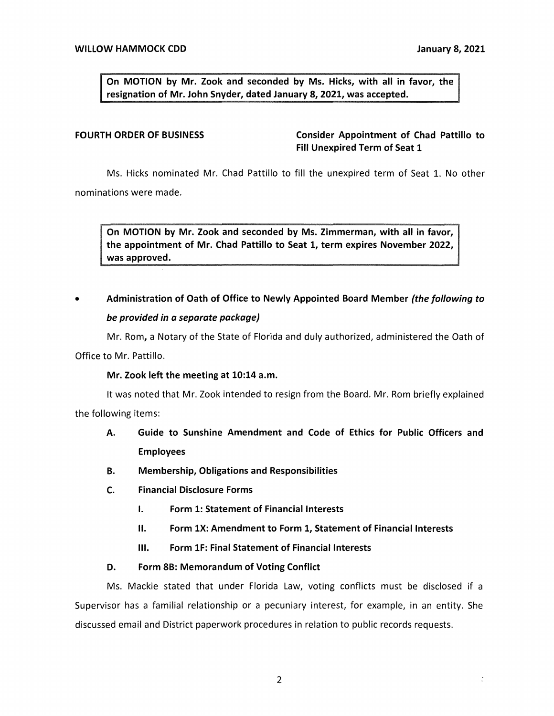$\ddot{\cdot}$ 

On MOTION by Mr. Zook and seconded by Ms. Hicks, with all in favor, the **signation of Mr. John Snyder, dated January 8, 2021, was accepted.** 

FOURTH ORDER OF BUSINESS **Consider Appointment of Chad Pattillo to Fill Unexpired Term of Seat 1** 

Ms. Hicks nominated Mr. Chad Pattillo to fill the unexpired term of Seat 1. No other nominations were made.

**On MOTION by Mr. Zook and seconded by Ms. Zimmerman, with all in favor, the appointment of Mr. Chad Pattillo to Seat 1, term expires November 2022, was approved.** 

# • **Administration of Oath of Office to Newly Appointed Board Member** *(the following to be provided in a separate package)*

Mr. Rom, a Notary of the State of Florida and duly authorized, administered the Oath of Office to Mr. Pattillo.

### **Mr. Zook left the meeting at 10:14 a.m.**

It was noted that Mr. Zook intended to resign from the Board. Mr. Rom briefly explained the following items:

- **A. Guide to Sunshine Amendment and Code of Ethics for Public Officers and Employees**
- **B. Membership, Obligations and Responsibilities**
- **C. Financial Disclosure Forms** 
	- I. **Form 1: Statement of Financial Interests**
	- II. **Form lX: Amendment to Form 1, Statement of Financial Interests**
	- Ill. **Form lF: Final Statement of Financial Interests**

### **O. Form 8B: Memorandum of Voting Conflict**

Ms. Mackie stated that under Florida Law, voting conflicts must be disclosed if a Supervisor has a familial relationship or a pecuniary interest, for example, in an entity. She discussed email and District paperwork procedures in relation to public records requests.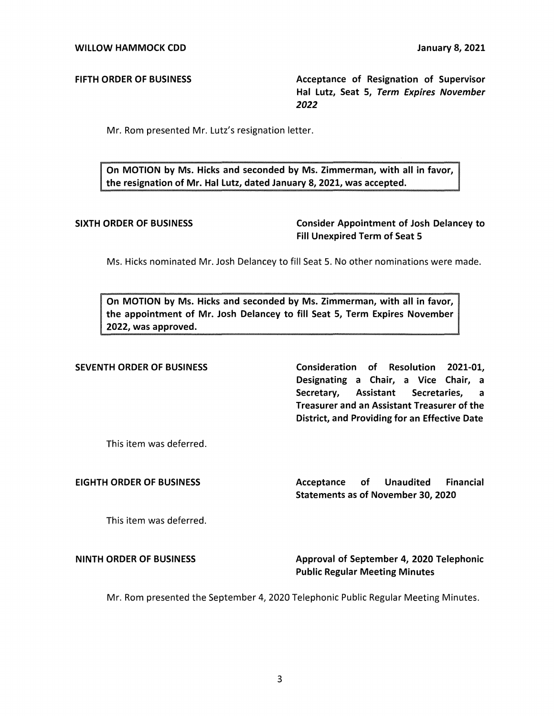FIFTH **ORDER** OF **BUSINESS** Acceptance of Resignation of Supervisor Hal Lutz, Seat 5, Term Expires November *2022* 

Mr. Rom presented Mr. Lutz's resignation letter.

On MOTION by Ms. Hicks and seconded by Ms. Zimmerman, with all in favor, the resignation of Mr. Hal Lutz, dated January 8, 2021, was accepted.

SIXTH ORDER OF BUSINESS Consider Appointment of Josh Delancey to Fill Unexpired Term of Seat 5

Ms. Hicks nominated Mr. Josh Delancey to fill Seat 5. No other nominations were made.

On MOTION by Ms. Hicks and seconded by Ms. Zimmerman, with all in favor, the appointment of Mr. Josh Delancey to fill Seat 5, Term Expires November 2022, was approved.

SEVENTH ORDER OF BUSINESS Consideration of Resolution 2021-01, Designating a Chair, a Vice Chair, a Secretary, Assistant Secretaries, a Treasurer and an Assistant Treasurer of the District, and Providing for an Effective Date

This item was deferred.

EIGHTH ORDER OF BUSINESS THE SACCEPTANCE of Unaudited Financial Statements as of November 30, 2020

This item was deferred.

**NINTH ORDER OF BUSINESS** Approval of September 4, 2020 Telephonic Public Regular Meeting Minutes

Mr. Rom presented the September 4, 2020 Telephonic Public Regular Meeting Minutes.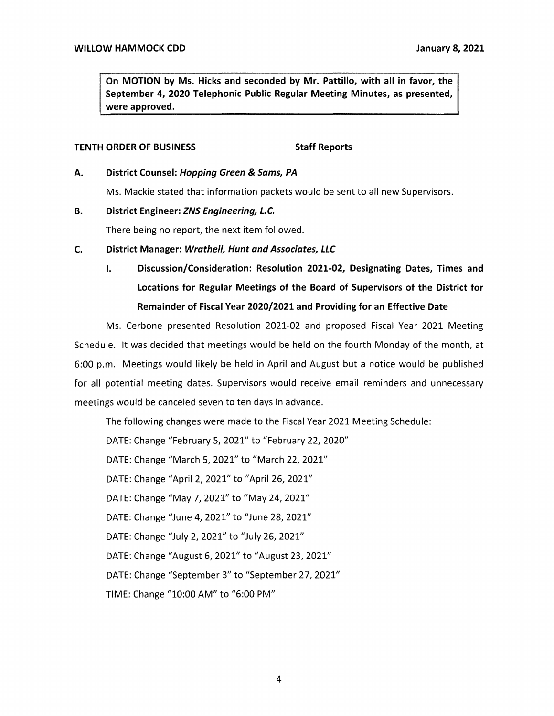**On MOTION by Ms. Hicks and seconded by Mr. Pattillo, with all in favor, the September 4, 2020 Telephonic Public Regular Meeting Minutes, as presented, were approved.** 

#### **TENTH ORDER OF BUSINESS** Staff Reports

#### **A. District Counsel: Hopping Green** & **Sams, PA**

Ms. Mackie stated that information packets would be sent to all new Supervisors.

#### **B. District Engineer: ZNS Engineering, L.C.**

There being no report, the next item followed.

### **C. District Manager: Wrathe/1, Hunt and Associates, LLC**

I. **Discussion/Consideration: Resolution 2021-02, Designating Dates, Times and Locations for Regular Meetings of the Board of Supervisors of the District for Remainder of Fiscal Year 2020/2021 and Providing for an Effective Date** 

Ms. Cerbone presented Resolution 2021-02 and proposed Fiscal Year 2021 Meeting Schedule. It was decided that meetings would be held on the fourth Monday of the month, at 6:00 p.m. Meetings would likely be held in April and August but a notice would be published for all potential meeting dates. Supervisors would receive email reminders and unnecessary meetings would be canceled seven to ten days in advance.

The following changes were made to the Fiscal Year 2021 Meeting Schedule:

DATE: Change "February 5, 2021" to "February 22, 2020"

DATE: Change "March 5, 2021" to "March 22, 2021"

DATE: Change "April 2, 2021" to "April 26, 2021"

DATE: Change "May 7, 2021" to "May 24, 2021"

DATE: Change "June 4, 2021" to "June 28, 2021"

DATE: Change "July 2, 2021" to "July 26, 2021"

DATE: Change "August 6, 2021" to "August 23, 2021"

DATE: Change "September 3" to "September 27, 2021"

TIME: Change "10:00 AM" to "6:00 PM"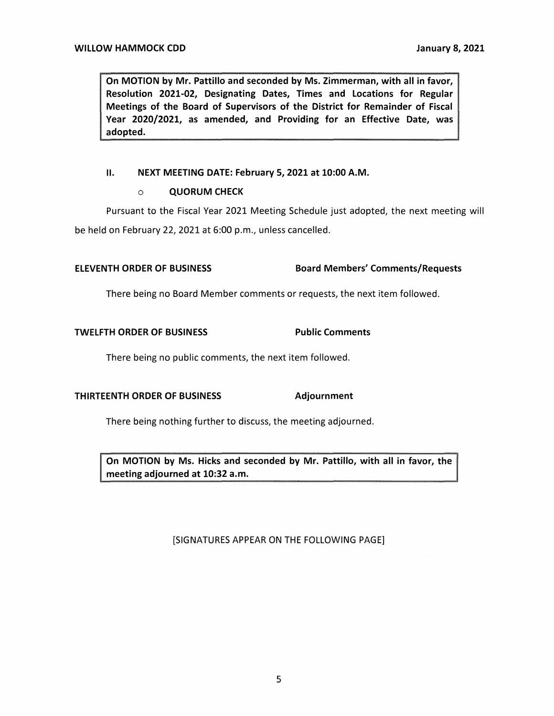**On MOTION by Mr. Pattillo and seconded by Ms. Zimmerman, with all in favor, Resolution 2021-02, Designating Dates, Times and Locations for Regular Meetings of the Board of Supervisors of the District for Remainder of Fiscal Year 2020/2021, as amended, and Providing for an Effective Date, was adopted.** 

## II. **NEXT MEETING DATE: February 5, 2021 at 10:00 A.M.**

#### o **QUORUM CHECK**

Pursuant to the Fiscal Year 2021 Meeting Schedule just adopted, the next meeting will be held on February 22, 2021 at 6:00 p.m., unless cancelled.

# **ELEVENTH ORDER OF BUSINESS Board Members' Comments/Requests**

There being no Board Member comments or requests, the next item followed.

### **TWELFTH ORDER OF BUSINESS FOR Public Comments**

There being no public comments, the next item followed.

### **THIRTEENTH ORDER OF BUSINESS Adjournment**

There being nothing further to discuss, the meeting adjourned.

**On MOTION by Ms. Hicks and seconded by Mr. Pattillo, with all in favor, the meeting adjourned at 10:32 a.m.** 

### [SIGNATURES APPEAR ON THE FOLLOWING PAGE]